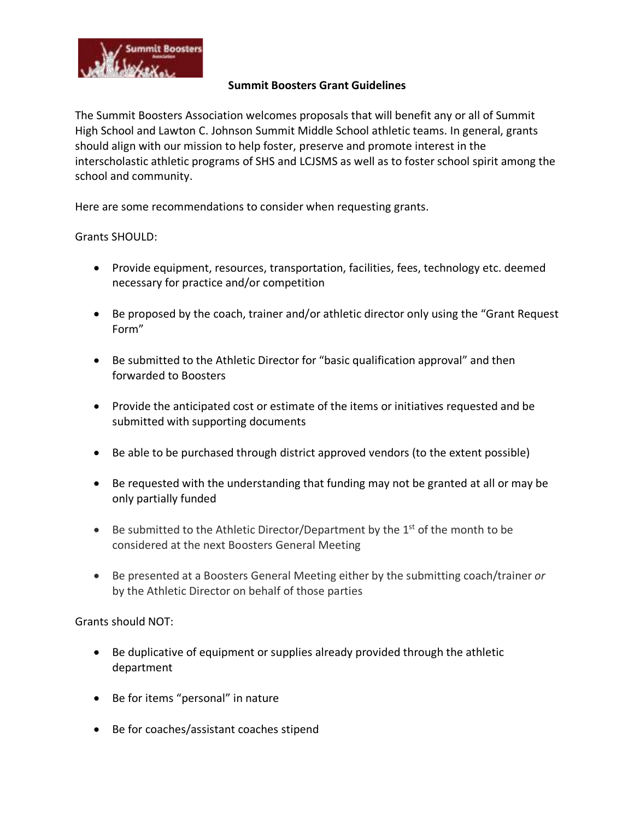

## **Summit Boosters Grant Guidelines**

The Summit Boosters Association welcomes proposals that will benefit any or all of Summit High School and Lawton C. Johnson Summit Middle School athletic teams. In general, grants should align with our mission to help foster, preserve and promote interest in the interscholastic athletic programs of SHS and LCJSMS as well as to foster school spirit among the school and community.

Here are some recommendations to consider when requesting grants.

Grants SHOULD:

- Provide equipment, resources, transportation, facilities, fees, technology etc. deemed necessary for practice and/or competition
- Be proposed by the coach, trainer and/or athletic director only using the "Grant Request Form"
- Be submitted to the Athletic Director for "basic qualification approval" and then forwarded to Boosters
- Provide the anticipated cost or estimate of the items or initiatives requested and be submitted with supporting documents
- Be able to be purchased through district approved vendors (to the extent possible)
- Be requested with the understanding that funding may not be granted at all or may be only partially funded
- Be submitted to the Athletic Director/Department by the  $1<sup>st</sup>$  of the month to be considered at the next Boosters General Meeting
- Be presented at a Boosters General Meeting either by the submitting coach/trainer *or* by the Athletic Director on behalf of those parties

Grants should NOT:

- Be duplicative of equipment or supplies already provided through the athletic department
- Be for items "personal" in nature
- Be for coaches/assistant coaches stipend